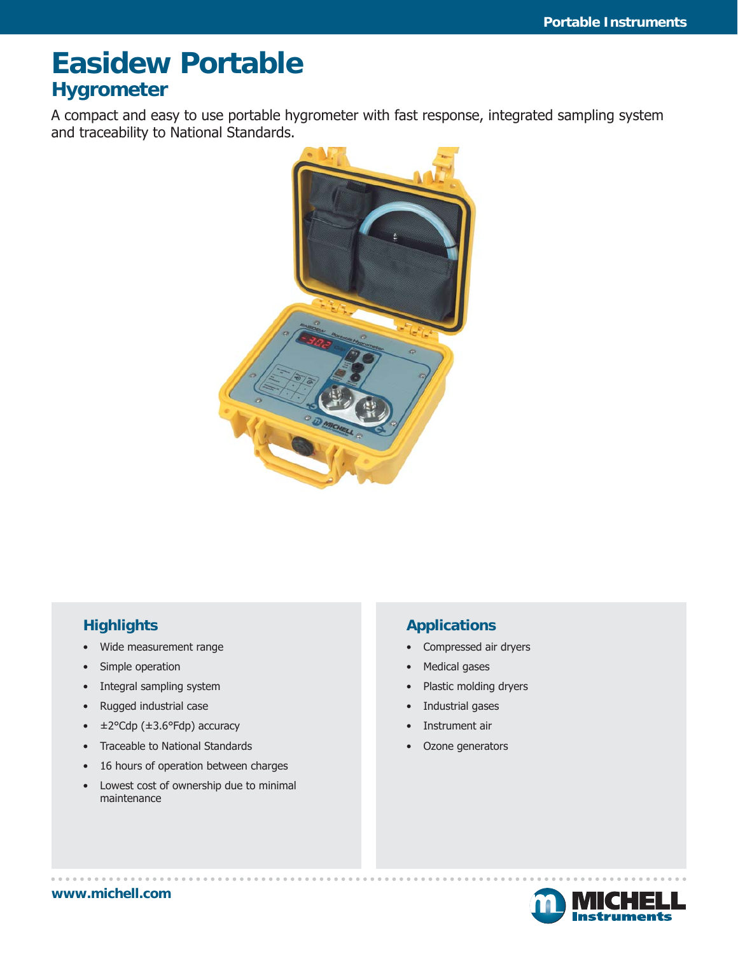# **Easidew Portable Hygrometer**

A compact and easy to use portable hygrometer with fast response, integrated sampling system and traceability to National Standards.



#### **Highlights**

- Wide measurement range
- Simple operation
- Integral sampling system
- Rugged industrial case
- $\cdot\quad \pm 2^{\circ}$ Cdp ( $\pm 3.6^{\circ}$ Fdp) accuracy
- Traceable to National Standards
- 16 hours of operation between charges
- Lowest cost of ownership due to minimal maintenance

#### **Applications**

- Compressed air dryers
- Medical gases
- Plastic molding dryers
- Industrial gases
- Instrument air
- Ozone generators

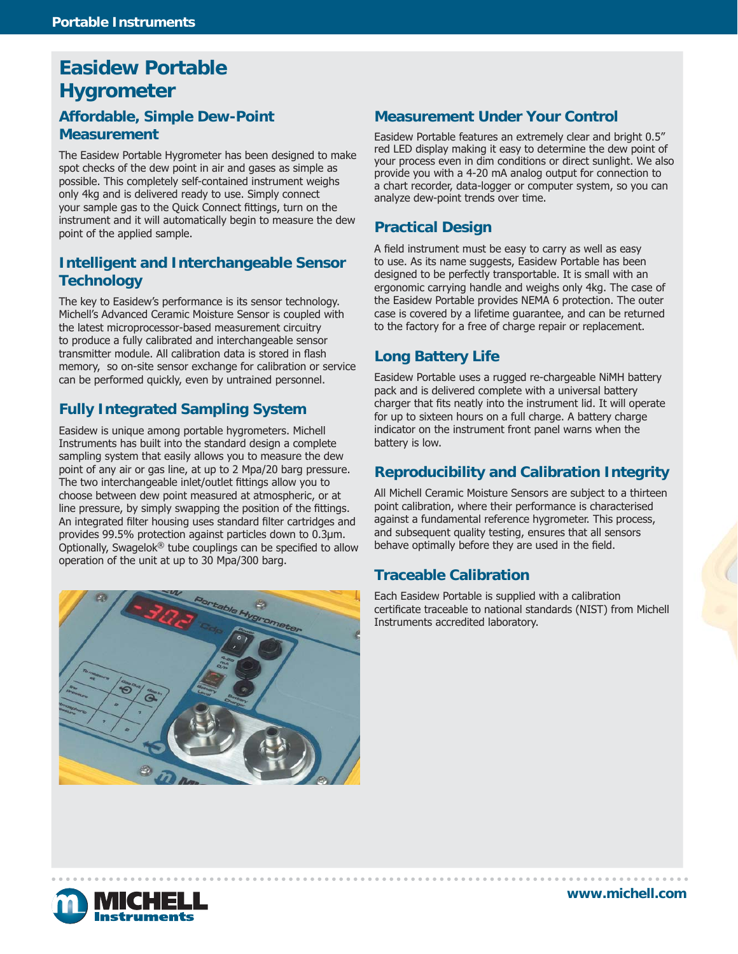### **Easidew Portable Hygrometer**

#### **Affordable, Simple Dew-Point Measurement**

The Easidew Portable Hygrometer has been designed to make spot checks of the dew point in air and gases as simple as possible. This completely self-contained instrument weighs only 4kg and is delivered ready to use. Simply connect your sample gas to the Quick Connect fittings, turn on the instrument and it will automatically begin to measure the dew point of the applied sample.

#### **Intelligent and Interchangeable Sensor Technology**

The key to Easidew's performance is its sensor technology. Michell's Advanced Ceramic Moisture Sensor is coupled with the latest microprocessor-based measurement circuitry to produce a fully calibrated and interchangeable sensor transmitter module. All calibration data is stored in flash memory, so on-site sensor exchange for calibration or service can be performed quickly, even by untrained personnel.

#### **Fully Integrated Sampling System**

Easidew is unique among portable hygrometers. Michell Instruments has built into the standard design a complete sampling system that easily allows you to measure the dew point of any air or gas line, at up to 2 Mpa/20 barg pressure. The two interchangeable inlet/outlet fittings allow you to choose between dew point measured at atmospheric, or at line pressure, by simply swapping the position of the fittings. An integrated filter housing uses standard filter cartridges and provides 99.5% protection against particles down to 0.3μm. Optionally, Swagelok® tube couplings can be specified to allow operation of the unit at up to 30 Mpa/300 barg.



#### **Measurement Under Your Control**

Easidew Portable features an extremely clear and bright 0.5" red LED display making it easy to determine the dew point of your process even in dim conditions or direct sunlight. We also provide you with a 4-20 mA analog output for connection to a chart recorder, data-logger or computer system, so you can analyze dew-point trends over time.

#### **Practical Design**

A field instrument must be easy to carry as well as easy to use. As its name suggests, Easidew Portable has been designed to be perfectly transportable. It is small with an ergonomic carrying handle and weighs only 4kg. The case of the Easidew Portable provides NEMA 6 protection. The outer case is covered by a lifetime guarantee, and can be returned to the factory for a free of charge repair or replacement.

#### **Long Battery Life**

Easidew Portable uses a rugged re-chargeable NiMH battery pack and is delivered complete with a universal battery charger that fits neatly into the instrument lid. It will operate for up to sixteen hours on a full charge. A battery charge indicator on the instrument front panel warns when the battery is low.

#### **Reproducibility and Calibration Integrity**

All Michell Ceramic Moisture Sensors are subject to a thirteen point calibration, where their performance is characterised against a fundamental reference hygrometer. This process, and subsequent quality testing, ensures that all sensors behave optimally before they are used in the field.

#### **Traceable Calibration**

Each Easidew Portable is supplied with a calibration certificate traceable to national standards (NIST) from Michell Instruments accredited laboratory.

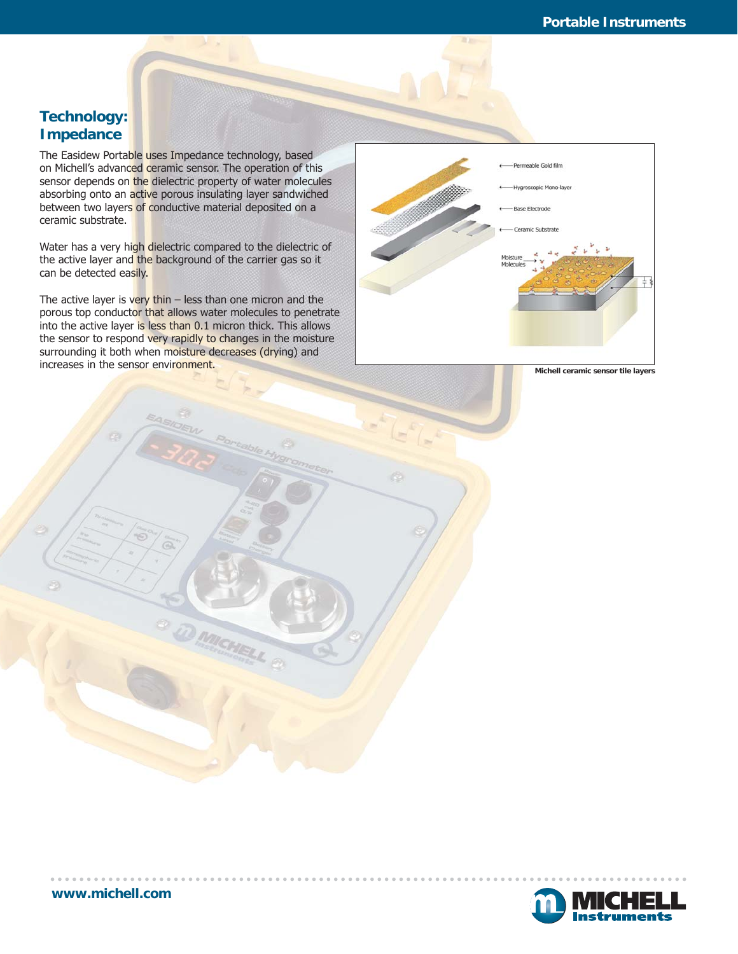#### **Technology: Impedance**

The Easidew Portable uses Impedance technology, based on Michell's advanced ceramic sensor. The operation of this sensor depends on the dielectric property of water molecules absorbing onto an active porous insulating layer sandwiched between two layers of conductive material deposited on a ceramic substrate.

Water has a very high dielectric compared to the dielectric of the active layer and the background of the carrier gas so it can be detected easily.

The active layer is very thin  $-$  less than one micron and the porous top conductor that allows water molecules to penetrate into the active layer is less than 0.1 micron thick. This allows the sensor to respond very rapidly to changes in the moisture surrounding it both when moisture decreases (drying) and increases in the sensor environment.

MICHEL